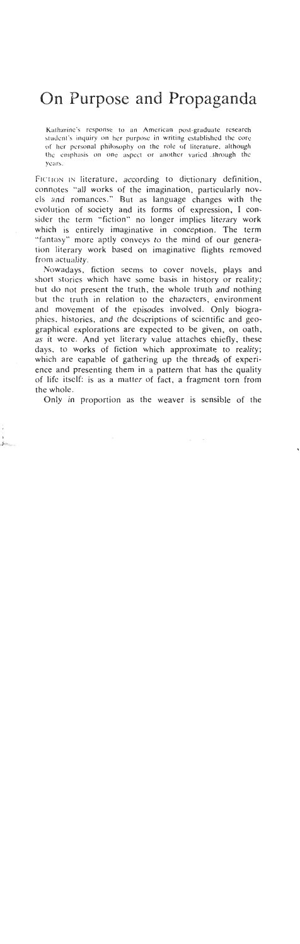## On Purpose and Propaganda

Katharine's response to an American post-graduate research student's inquiry on her purpose in writing established the core **ol' her pcrsonal philosophy on thc role of literature, although**  the emphasis on one aspect or another varied through the **years.** 

FICTION IN literature, according to dictionary definition, connotes "all works of the imagination, particularly novels and romances." But as language changes with the evolution of society and its forms of expression, I consider the term "fiction" no longer implies literary work which is entirely imaginative in conception. The term "fantasy" more aptly conveys to the mind of our generation literary work based on imaginative flights removed from actuality.

Nowadays, fiction seems to cover novels, plays and short stories which have some basis in history or reality; but do not present the truth, the whole truth and nothing but the truth in relation to the characters, environment and movement of the episodes involved. Only biographies. histories, and the descriptions of scientific and geographical explorations are expected to be given, on oath, as it were. And yet literary value attaches chiefly, these days. to works of fiction which approximate to reality; which are capable of gathering up the threads of experience and presenting them in a pattern that has the quality of life itself: is as a matter of fact, a fragment torn from the whole.

Only in proportion as the weaver is sensible of the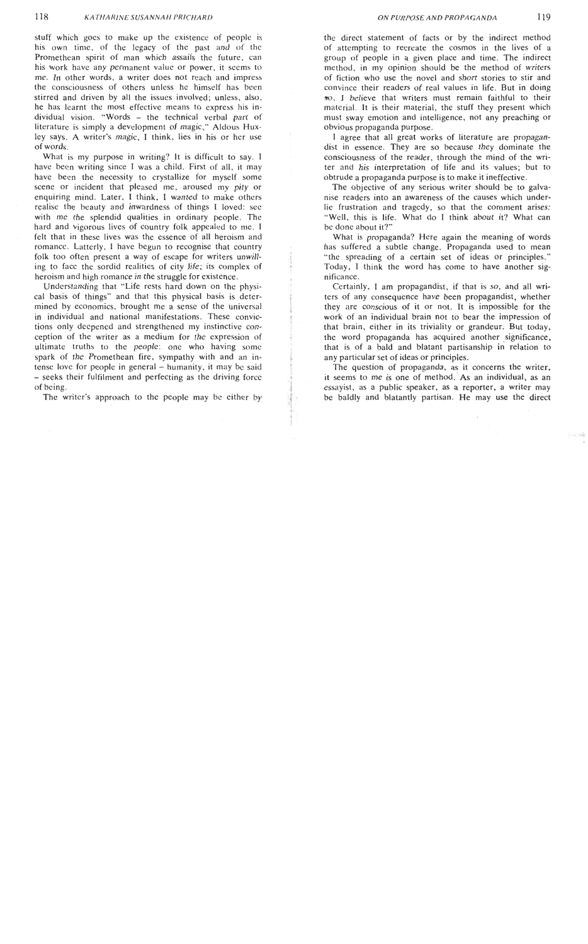stuff which goes to make up the existence of people is his own time, of the legacy of the past and of the Promethean spirit of man which assails the future, can his work have any permanent value or power, it seems to me. In other words, a writer does not reach and impress the consciousness of others unless he himself has been stirred and driven by all the issues involved; unless, also, he has learnt the most effective means to express his individual vision. "Words - the technical verbal part of literature is simply a development of magic." Aldous Huxley says. A writer's magic, I think, lies in his or her use of words.

What is my purpose in writing? It is difficult to say. I have been writing since I was a child. First of all, it may have been the necessity to crystallize for myself some scene or incident that pleased me, aroused my pity or enquiring mind. Later, I think, I wanted to make others realise the beauty and inwardness of things I loved: see with me the splendid qualities in ordinary people. The hard and vigorous lives of country folk appealed to me. I felt that in these lives was the essence of all heroism and romance. Latterly, I have begun to recognise that country folk too often present a way of escape for writers unwilling to facc the sordid realities of city life; its complex of heroism and high romance in the struggle for existence.

Understanding that "Life rests hard down on the physical basis of things" and that this physical basis is determined by economics, brought me a sense of the universal<br>in individual and national manifestations. These convictions only deepened and strengthened my instinctive conception of the writer as a medium for the expression of ultimate truths to the people: one who having some spark of the Promethean fire, sympathy with and an intense love for people in general - humanity, it may be said - seeks their fulfilment and perfecting as the driving force of being.

The writer's approach to the people may be either by

the direct statement of facts or by the indirect method of attempting to recreate the cosmos in the lives of a group of people in a given place and time. The indirect method, in my opinion should be the method of writers of fiction who use the novel and short stories to stir and convince their readers of real values in life. But in doing **so,** I believe that writers must remain faithful to their material. It is their material, the stuff they present which must sway emotion and intelligence, not any preaching or obvious propaganda purpose.

I agree that all great works of literature are propagandist in essence. They are so because they dominate the consciousness of the reader, through the mind of the writer and his interpretation of life and its values; but to obtrude a propaganda purpose is to make it ineffective.

The objective of any serious writer should be to galvanise readers into an awareness of the causes which underlie frustration and tragedy, so that the comment arises: "Well, this is life. What do I think about it? What can bc done about it?"

What is propaganda? Here again the meaning of words has suffered a subtle change. Propaganda used to mean "the spreading of a certain set of ideas or principles." Today, I think the word has come to have another significance.

Certainly, I am propagandist, if that is so, and all writers of any consequence have been propagandist, whether they are conscious of it or not. It is impossible for the work of an individual brain not to bear the impression of that brain, either in its triviality or grandeur. But today, the word propaganda has acquired another significance, that is of a bald and blatant partisanship **in** relation to any particular set of ideas or principles.

The question of propaganda, as it concerns the writer, it seems to me is one of method. As an individual, as an essayist, as a public speaker, as a reporter, a writer may be baldly and blatantly partisan. He may use the direct

652,341